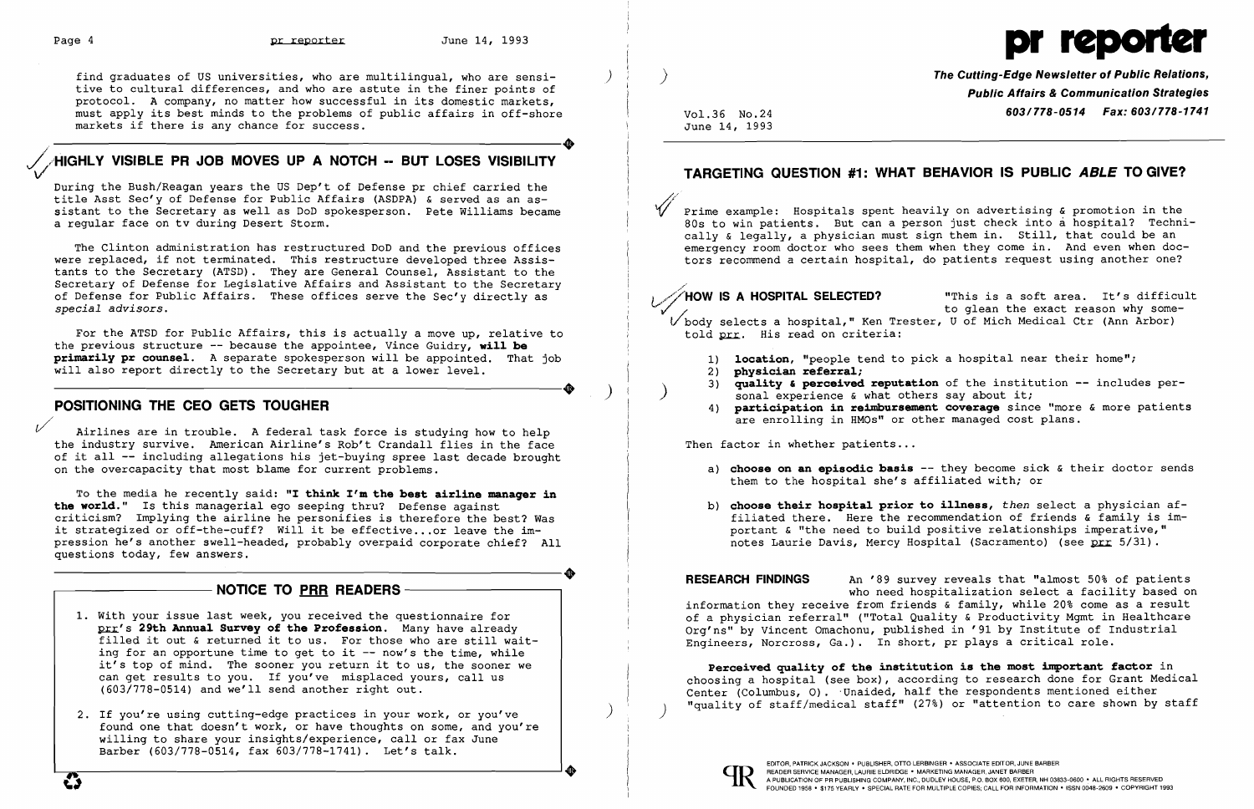find graduates of US universities, who are multilingual, who are sensitive to cultural differences, and who are astute in the finer points of protocol. A company, no matter how successful in its domestic markets, must apply its best minds to the problems of public affairs in off-shore markets if there is any chance for success.

# $\bullet$ ~/HIGHL**Y VISIBLE PR JOB MOVES UP A NOTCH -- BUT LOSES VISIBILITY**

During the Bush/Reagan years the US Dep't of Defense pr chief carried the title Asst Sec'y of Defense for Public Affairs (ASDPA) & served as an assistant to the Secretary as well as DoD spokesperson. Pete Williams became a regular face on tv during Desert Storm.

The Clinton administration has restructured DoD and the previous offices were replaced, if not terminated. This restructure developed three Assistants to the Secretary (ATSD). They are General Counsel, Assistant to the Secretary of Defense for Legislative Affairs and Assistant to the Secretary of Defense for Public Affairs. These offices serve the Sec'y directly as *special advisors.* 

For the ATSD for Public Affairs, this is actually a move up, relative to the previous structure -- because the appointee, Vince Guidry, **will be primarily pr counsel.** A separate spokesperson will be appointed. That job ----------------------+ ) will also report directly to the Secretary but at a lower level.

## **POSITIONING THE CEO GETS TOUGHER**

**The Cutting-Edge Newsletter of Public Relations, Public Affairs & Communication Strategies**  Vol. 36 No. 24 *603/778-0514 Fax: 603/778-1741* 

*1//*  Airlines are in trouble. A federal task force is studying how to help the industry survive. American Airline's Rob't Crandall flies in the face of it all -- including allegations his jet-buying spree last decade brought on the overcapacity that most blame for current problems.

 $\sqrt{\phantom{a}}$  Prime example: Hospitals spent heavily on advertising & promotion in the 80s to win patients. But can a person just check into a hospital? Techni cally & legally, a physician must sign them in. Still, that could be an emergency room doctor who sees them when they come in. And even when doctors recommend a certain hospital, do patients request using another one?

told prr. His read on criteria:

- 
- 2) **physician referral;**
- sonal experience & what others say about it;<br>4) **participation in reimbursement coverage** since
- are enrolling in HMOs" or other managed cost plans.

Then factor in whether patients...

To the media he recently said: **"I think I'm the best airline manager in the world."** Is this managerial ego seeping thru? Defense against criticism? Implying the airline he personifies is therefore the best? Was it strategized or off-the-cuff? Will it be effective ...or leave the impression he's another swell-headed, probably overpaid corporate chief? All ----------------------+ questions today, few answers.

b) **choose their hospital prior to illness,** *then* select a physician affiliated there. Here the recommendation of friends & family is important & "the need to build positive relationships imperative," notes Laurie Davis, Mercy Hospital (Sacramento) (see prr 5/31).

**RESEARCH FINDINGS** An '89 survey reveals that "almost 50% of patients who need hospitalization select a facility based on information they receive from friends & family, while 20% come as a result of a physician referral" ("Total Quality & Productivity Mgmt in Healthcare Org'ns" by Vincent Omachonu, published in '91 by Institute of Industrial Engineers, Norcross, Ga.). In short, pr plays a critical role.

| <b>NOTICE TO PRR READERS-</b>                                                                                                                                                                                                                                                                                                                                                                                                                                 |
|---------------------------------------------------------------------------------------------------------------------------------------------------------------------------------------------------------------------------------------------------------------------------------------------------------------------------------------------------------------------------------------------------------------------------------------------------------------|
| 1. With your issue last week, you received the questionnaire for<br>prr's 29th Annual Survey of the Profession. Many have already<br>filled it out & returned it to us. For those who are still wait-<br>ing for an opportune time to get to it -- now's the time, while<br>it's top of mind. The sooner you return it to us, the sooner we<br>can get results to you. If you've misplaced yours, call us<br>(603/778-0514) and we'll send another right out. |
| 2. If you're using cutting-edge practices in your work, or you've<br>found one that doesn't work, or have thoughts on some, and you're<br>willing to share your insights/experience, call or fax June<br>Barber (603/778-0514, fax 603/778-1741). Let's talk.                                                                                                                                                                                                 |

**C** 

# Page 4 **pr reporter** June 14, 1993 **pr 1993** pr 1993 pr 1993 pr 1995 pr 1995 pr 1997 pr 1998 pr 1998 pr 1998 pr 1998 pr 1998 pr 1998 pr 1998 pr 1998 pr 1998 pr 1998 pr 1998 pr 1998 pr 1998 pr 1998 pr 1998 pr 1998 pr 1998 p

June 14, 1993

# **TARGETING QUESTION #1: WHAT BEHAVIOR IS PUBLIC ABLE TO GIVE?**

/

v./~/HOW **IS A HOSPITAL SELECTED?** "This is a soft area. It's difficult to glean the exact reason why some-Vbody selects a hospital," Ken Trester, U of Mich Medical Ctr (Ann Arbor)

1) **location,** "people tend to pick a hospital near their home":

3) **quality' perceived reputation** of the institution -- includes per  $\ddot{\phantom{1}}$ 4) **participation in reimbursement coverage** since "more & more patients

a) **choose on an episodic basis --** they become sick & their doctor sends

- them to the hospital she's affiliated with; or
- 

**Perceived quality of the institution is the most important factor** in choosing a hospital (see box), according to research done for Grant Medical Center (Columbus, O). Unaided, half the respondents mentioned either "quality of staff/medical staff" (27%) or "attention to care shown by staff )